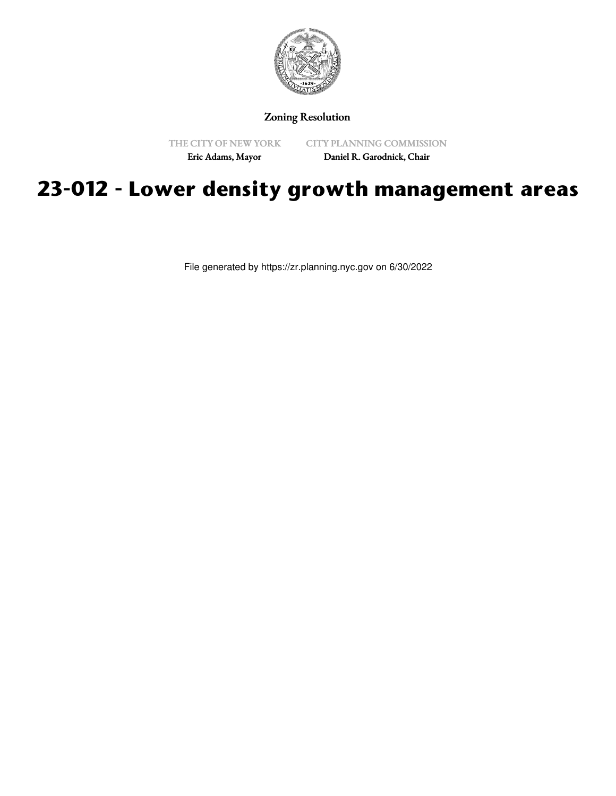

Zoning Resolution

THE CITY OF NEW YORK Eric Adams, Mayor

CITY PLANNING COMMISSION Daniel R. Garodnick, Chair

## **23-012 - Lower density growth management areas**

File generated by https://zr.planning.nyc.gov on 6/30/2022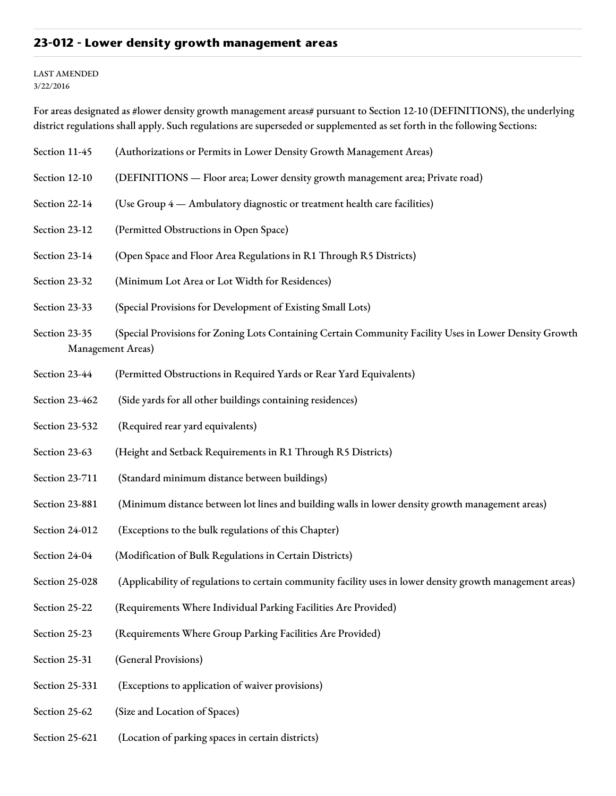## **23-012 - Lower density growth management areas**

## LAST AMENDED 3/22/2016

For areas designated as #lower density growth management areas# pursuant to Section 12-10 (DEFINITIONS), the underlying district regulations shall apply. Such regulations are superseded or supplemented as set forth in the following Sections:

- Section 11-45 (Authorizations or Permits in Lower Density Growth Management Areas)
- Section 12-10 (DEFINITIONS Floor area; Lower density growth management area; Private road)
- Section 22-14 (Use Group 4 Ambulatory diagnostic or treatment health care facilities)
- Section 23-12 (Permitted Obstructions in Open Space)
- Section 23-14 (Open Space and Floor Area Regulations in R1 Through R5 Districts)
- Section 23-32 (Minimum Lot Area or Lot Width for Residences)
- Section 23-33 (Special Provisions for Development of Existing Small Lots)
- Section 23-35 (Special Provisions for Zoning Lots Containing Certain Community Facility Uses in Lower Density Growth Management Areas)
- Section 23-44 (Permitted Obstructions in Required Yards or Rear Yard Equivalents)
- Section 23-462 (Side yards for all other buildings containing residences)
- Section 23-532 (Required rear yard equivalents)
- Section 23-63 (Height and Setback Requirements in R1 Through R5 Districts)
- Section 23-711 (Standard minimum distance between buildings)
- Section 23-881 (Minimum distance between lot lines and building walls in lower density growth management areas)
- Section 24-012 (Exceptions to the bulk regulations of this Chapter)
- Section 24-04 (Modification of Bulk Regulations in Certain Districts)
- Section 25-028 (Applicability of regulations to certain community facility uses in lower density growth management areas)
- Section 25-22 (Requirements Where Individual Parking Facilities Are Provided)
- Section 25-23 (Requirements Where Group Parking Facilities Are Provided)
- Section 25-31 (General Provisions)
- Section 25-331 (Exceptions to application of waiver provisions)
- Section 25-62 (Size and Location of Spaces)
- Section 25-621 (Location of parking spaces in certain districts)